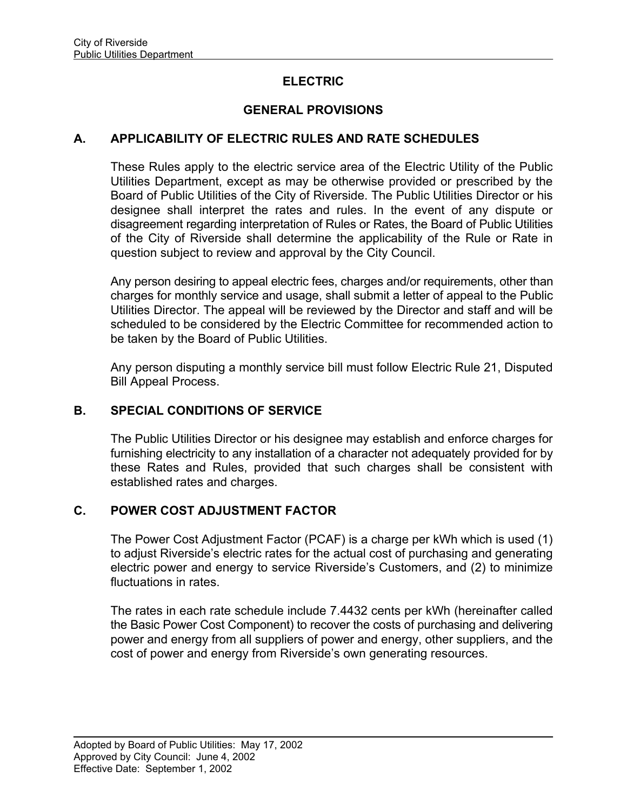## **ELECTRIC**

# **GENERAL PROVISIONS**

### **A. APPLICABILITY OF ELECTRIC RULES AND RATE SCHEDULES**

These Rules apply to the electric service area of the Electric Utility of the Public Utilities Department, except as may be otherwise provided or prescribed by the Board of Public Utilities of the City of Riverside. The Public Utilities Director or his designee shall interpret the rates and rules. In the event of any dispute or disagreement regarding interpretation of Rules or Rates, the Board of Public Utilities of the City of Riverside shall determine the applicability of the Rule or Rate in question subject to review and approval by the City Council.

Any person desiring to appeal electric fees, charges and/or requirements, other than charges for monthly service and usage, shall submit a letter of appeal to the Public Utilities Director. The appeal will be reviewed by the Director and staff and will be scheduled to be considered by the Electric Committee for recommended action to be taken by the Board of Public Utilities.

Any person disputing a monthly service bill must follow Electric Rule 21, Disputed Bill Appeal Process.

### **B. SPECIAL CONDITIONS OF SERVICE**

The Public Utilities Director or his designee may establish and enforce charges for furnishing electricity to any installation of a character not adequately provided for by these Rates and Rules, provided that such charges shall be consistent with established rates and charges.

### **C. POWER COST ADJUSTMENT FACTOR**

The Power Cost Adjustment Factor (PCAF) is a charge per kWh which is used (1) to adjust Riverside's electric rates for the actual cost of purchasing and generating electric power and energy to service Riverside's Customers, and (2) to minimize fluctuations in rates.

The rates in each rate schedule include 7.4432 cents per kWh (hereinafter called the Basic Power Cost Component) to recover the costs of purchasing and delivering power and energy from all suppliers of power and energy, other suppliers, and the cost of power and energy from Riverside's own generating resources.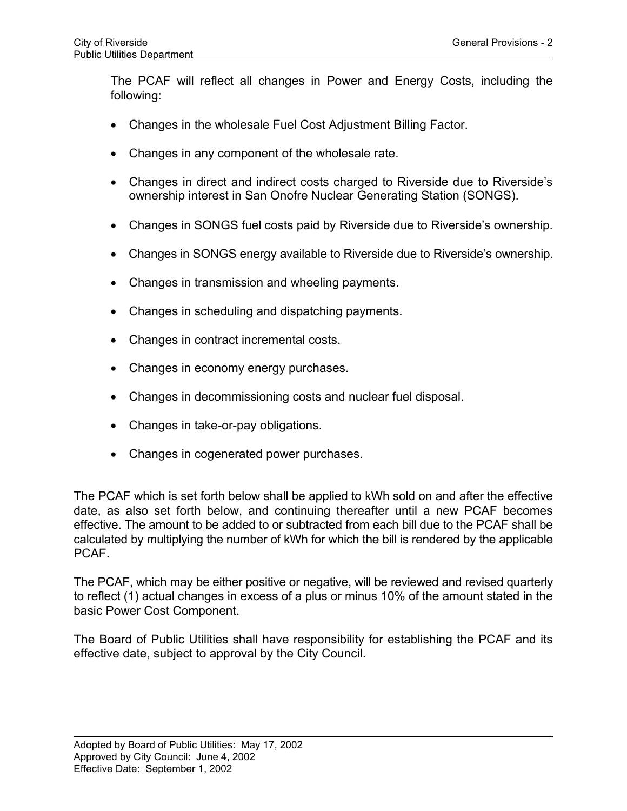The PCAF will reflect all changes in Power and Energy Costs, including the following:

- Changes in the wholesale Fuel Cost Adjustment Billing Factor.
- Changes in any component of the wholesale rate.
- Changes in direct and indirect costs charged to Riverside due to Riverside's ownership interest in San Onofre Nuclear Generating Station (SONGS).
- Changes in SONGS fuel costs paid by Riverside due to Riverside's ownership.
- Changes in SONGS energy available to Riverside due to Riverside's ownership.
- Changes in transmission and wheeling payments.
- Changes in scheduling and dispatching payments.
- Changes in contract incremental costs.
- Changes in economy energy purchases.
- Changes in decommissioning costs and nuclear fuel disposal.
- Changes in take-or-pay obligations.
- Changes in cogenerated power purchases.

The PCAF which is set forth below shall be applied to kWh sold on and after the effective date, as also set forth below, and continuing thereafter until a new PCAF becomes effective. The amount to be added to or subtracted from each bill due to the PCAF shall be calculated by multiplying the number of kWh for which the bill is rendered by the applicable PCAF.

The PCAF, which may be either positive or negative, will be reviewed and revised quarterly to reflect (1) actual changes in excess of a plus or minus 10% of the amount stated in the basic Power Cost Component.

The Board of Public Utilities shall have responsibility for establishing the PCAF and its effective date, subject to approval by the City Council.